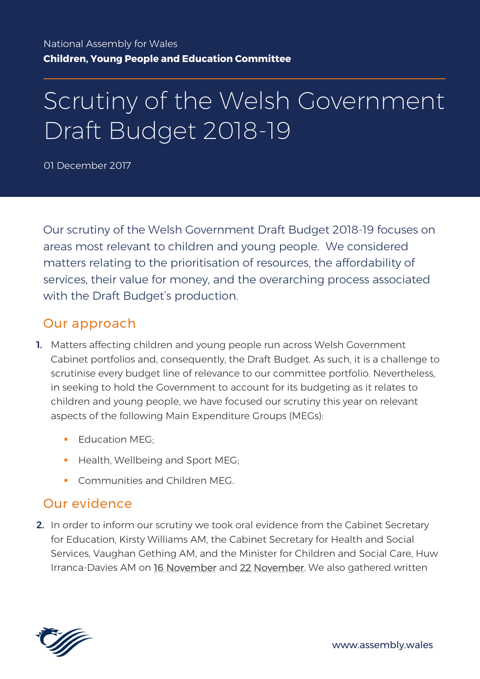# Scrutiny of the Welsh Government Draft Budget 2018-19

01 December 2017

Our scrutiny of the Welsh Government Draft Budget 2018-19 focuses on areas most relevant to children and young people. We considered matters relating to the prioritisation of resources, the affordability of services, their value for money, and the overarching process associated with the Draft Budget's production.

### Our approach

- 1. Matters affecting children and young people run across Welsh Government Cabinet portfolios and, consequently, the Draft Budget. As such, it is a challenge to scrutinise every budget line of relevance to our committee portfolio. Nevertheless, in seeking to hold the Government to account for its budgeting as it relates to children and young people, we have focused our scrutiny this year on relevant aspects of the following Main Expenditure Groups (MEGs):
	- $\blacksquare$  Education MEG:
	- Health, Wellbeing and Sport MEG;
	- **Communities and Children MEG.**

### Our evidence

2. In order to inform our scrutiny we took oral evidence from the Cabinet Secretary for Education, Kirsty Williams AM, the Cabinet Secretary for Health and Social Services, Vaughan Gething AM, and the Minister for Children and Social Care, Huw Irranca-Davies AM on [16 November](http://record.assembly.wales/Committee/4316) and [22 November.](http://record.assembly.wales/Committee/4317) We also gathered written

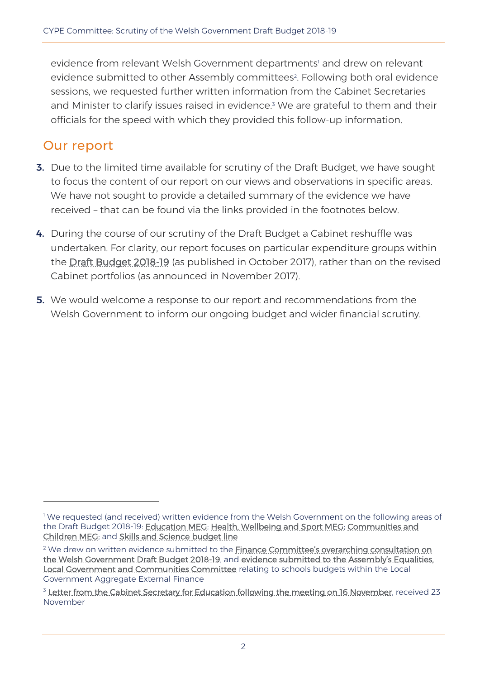evidence from relevant Welsh Government departments<sup>1</sup> and drew on relevant evidence submitted to other Assembly committees<sup>2</sup>. Following both oral evidence sessions, we requested further written information from the Cabinet Secretaries and Minister to clarify issues raised in evidence. <sup>3</sup> We are grateful to them and their officials for the speed with which they provided this follow-up information.

### Our report

 $\overline{a}$ 

- 3. Due to the limited time available for scrutiny of the Draft Budget, we have sought to focus the content of our report on our views and observations in specific areas. We have not sought to provide a detailed summary of the evidence we have received – that can be found via the links provided in the footnotes below.
- 4. During the course of our scrutiny of the Draft Budget a Cabinet reshuffle was undertaken. For clarity, our report focuses on particular expenditure groups within the [Draft Budget 2018-19](http://gov.wales/funding/budget/draft-budget-2018-19/?lang=en) (as published in October 2017), rather than on the revised Cabinet portfolios (as announced in November 2017).
- **5.** We would welcome a response to our report and recommendations from the Welsh Government to inform our ongoing budget and wider financial scrutiny.

<sup>&</sup>lt;sup>1</sup> We requested (and received) written evidence from the Welsh Government on the following areas of the Draft Budget 2018-19: [Education MEG;](http://senedd.assembly.wales/documents/s68416/CYPE5-31-17-%20Paper%202%20-%20Welsh%20Government%20paper%20to%20the%20CYPE%20Committee%20on%20the%20Education%20Main%20Expendit.pdf) [Health, Wellbeing and Sport MEG;](http://senedd.assembly.wales/documents/s68417/CYPE5-31-17%20-%20Paper%201%20-%20Welsh%20Government%20paper%20to%20the%20CYPE%20Committee%20on%20the%20Health%20Wellbeing%20and%20.pdf) [Communities and](http://senedd.assembly.wales/documents/s68700/CYPE5-32-17%20-%20Paper%201%20Welsh%20Government%20paper%20to%20the%20Children%20Young%20People%20and%20Education%20Committ.pdf)  [Children MEG;](http://senedd.assembly.wales/documents/s68700/CYPE5-32-17%20-%20Paper%201%20Welsh%20Government%20paper%20to%20the%20Children%20Young%20People%20and%20Education%20Committ.pdf) and [Skills and Science budget line](http://senedd.assembly.wales/documents/s68418/CYPE5-31-17%20-%20Paper%20to%20note%201.pdf)

<sup>&</sup>lt;sup>2</sup> We drew on written evidence submitted to the Finance Committee's overarching consultation on [the Welsh Government Draft Budget 2018-19,](http://www.senedd.assembly.wales/mgConsultationDisplay.aspx?id=268&RPID=1752761028&cp=yes) and [evidence submitted to the Assem](http://senedd.assembly.wales/documents/s68559/Letter%20from%20the%20Cabinet%20Secretary%20for%20Local%20Government%20and%20Public%20Services%20to%20the%20Chair%20of%20the%20Equal.pdf)bly's Equalities, [Local Government and Communities Committee](http://senedd.assembly.wales/documents/s68559/Letter%20from%20the%20Cabinet%20Secretary%20for%20Local%20Government%20and%20Public%20Services%20to%20the%20Chair%20of%20the%20Equal.pdf) relating to schools budgets within the Local Government Aggregate External Finance

<sup>&</sup>lt;sup>3</sup> [Letter from the Cabinet Secretary for Education following the meeting on 16 November,](http://senedd.assembly.wales/documents/s68967/CYPE5-33-17%20-%20Paper%20to%20note%203.pdf) received 23 November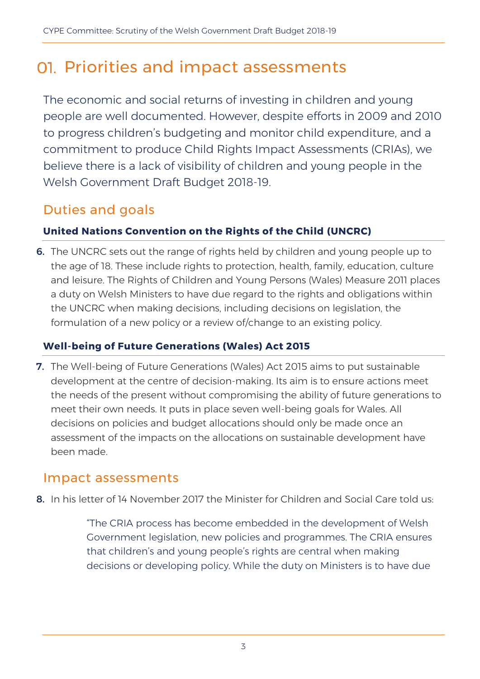## 01. Priorities and impact assessments

The economic and social returns of investing in children and young people are well documented. However, despite efforts in 2009 and 2010 to progress children's budgeting and monitor child expenditure, and a commitment to produce Child Rights Impact Assessments (CRIAs), we believe there is a lack of visibility of children and young people in the Welsh Government Draft Budget 2018-19.

### Duties and goals

#### **United Nations Convention on the Rights of the Child (UNCRC)**

6. The UNCRC sets out the range of rights held by children and young people up to the age of 18. These include rights to protection, health, family, education, culture and leisure. The Rights of Children and Young Persons (Wales) Measure 2011 places a duty on Welsh Ministers to have due regard to the rights and obligations within the UNCRC when making decisions, including decisions on legislation, the formulation of a new policy or a review of/change to an existing policy.

#### **Well-being of Future Generations (Wales) Act 2015**

7. The Well-being of Future Generations (Wales) Act 2015 aims to put sustainable development at the centre of decision-making. Its aim is to ensure actions meet the needs of the present without compromising the ability of future generations to meet their own needs. It puts in place seven well-being goals for Wales. All decisions on policies and budget allocations should only be made once an assessment of the impacts on the allocations on sustainable development have been made.

### Impact assessments

8. In his letter of 14 November 2017 the Minister for Children and Social Care told us:

"The CRIA process has become embedded in the development of Welsh Government legislation, new policies and programmes. The CRIA ensures that children's and young people's rights are central when making decisions or developing policy. While the duty on Ministers is to have due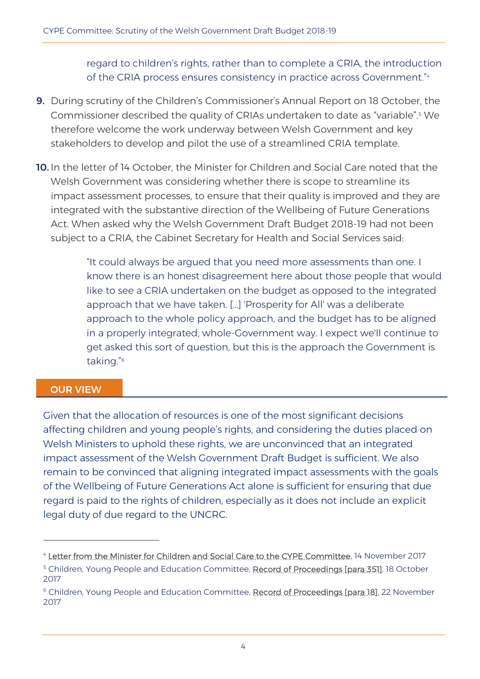regard to children's rights, rather than to complete a CRIA, the introduction of the CRIA process ensures consistency in practice across Government." 4

- 9. During scrutiny of the Children's Commissioner's Annual Report on 18 October, the Commissioner described the quality of CRIAs undertaken to date as "variable".<sup>5</sup> We therefore welcome the work underway between Welsh Government and key stakeholders to develop and pilot the use of a streamlined CRIA template.
- 10. In the letter of 14 October, the Minister for Children and Social Care noted that the Welsh Government was considering whether there is scope to streamline its impact assessment processes, to ensure that their quality is improved and they are integrated with the substantive direction of the Wellbeing of Future Generations Act. When asked why the Welsh Government Draft Budget 2018-19 had not been subject to a CRIA, the Cabinet Secretary for Health and Social Services said:

"It could always be argued that you need more assessments than one. I know there is an honest disagreement here about those people that would like to see a CRIA undertaken on the budget as opposed to the integrated approach that we have taken. […] 'Prosperity for All' was a deliberate approach to the whole policy approach, and the budget has to be aligned in a properly integrated, whole-Government way. I expect we'll continue to get asked this sort of question, but this is the approach the Government is taking." 6

#### OUR VIEW

 $\overline{a}$ 

Given that the allocation of resources is one of the most significant decisions affecting children and young people's rights, and considering the duties placed on Welsh Ministers to uphold these rights, we are unconvinced that an integrated impact assessment of the Welsh Government Draft Budget is sufficient. We also remain to be convinced that aligning integrated impact assessments with the goals of the Wellbeing of Future Generations Act alone is sufficient for ensuring that due regard is paid to the rights of children, especially as it does not include an explicit legal duty of due regard to the UNCRC.

<sup>4</sup> [Letter from the Minister for Children and Social Care to the CYPE Committee,](http://senedd.assembly.wales/documents/s68711/CYPE5-32-17%20-%20Paper%20to%20note%201.pdf) 14 November 2017 <sup>5</sup> Children, Young People and Education Committee, [Record of Proceedings \[para 351\],](http://senedd.assembly.wales/documents/s67735/18%20October%202017.html?CT=2) 18 October 2017

<sup>&</sup>lt;sup>6</sup> Children, Young People and Education Committee, [Record of Proceedings \[para 18\],](http://record.assembly.wales/Committee/4317) 22 November 2017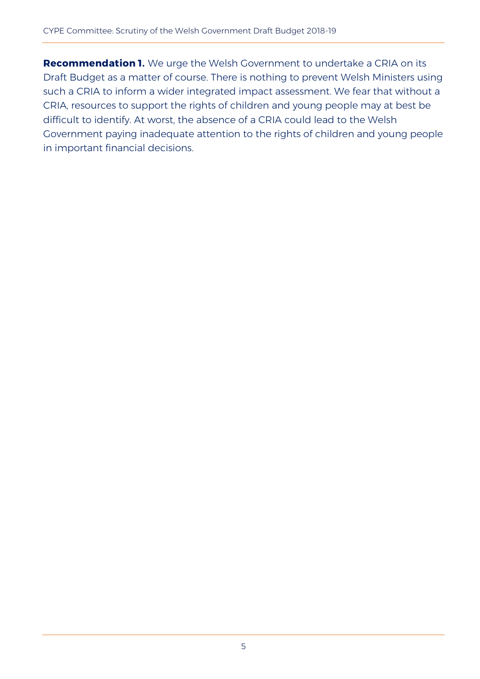**Recommendation 1.** We urge the Welsh Government to undertake a CRIA on its Draft Budget as a matter of course. There is nothing to prevent Welsh Ministers using such a CRIA to inform a wider integrated impact assessment. We fear that without a CRIA, resources to support the rights of children and young people may at best be difficult to identify. At worst, the absence of a CRIA could lead to the Welsh Government paying inadequate attention to the rights of children and young people in important financial decisions.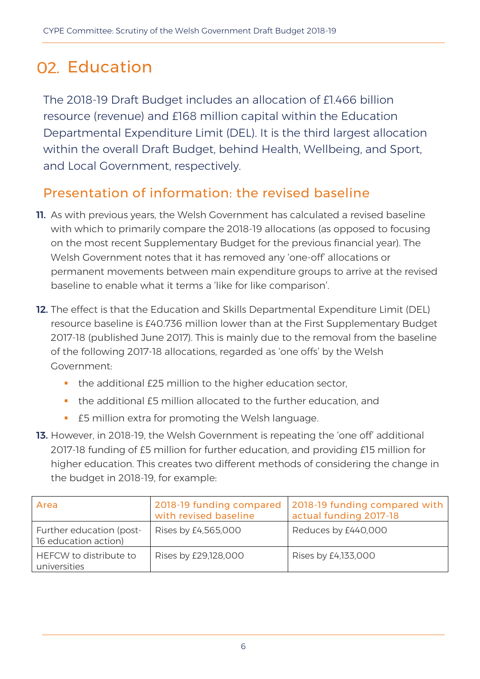# 02. Education

The 2018-19 Draft Budget includes an allocation of £1.466 billion resource (revenue) and £168 million capital within the Education Departmental Expenditure Limit (DEL). It is the third largest allocation within the overall Draft Budget, behind Health, Wellbeing, and Sport, and Local Government, respectively.

### Presentation of information: the revised baseline

- **11.** As with previous years, the Welsh Government has calculated a revised baseline with which to primarily compare the 2018-19 allocations (as opposed to focusing on the most recent Supplementary Budget for the previous financial year). The Welsh Government notes that it has removed any 'one-off' allocations or permanent movements between main expenditure groups to arrive at the revised baseline to enable what it terms a 'like for like comparison'.
- 12. The effect is that the Education and Skills Departmental Expenditure Limit (DEL) resource baseline is £40.736 million lower than at the First Supplementary Budget 2017-18 (published June 2017). This is mainly due to the removal from the baseline of the following 2017-18 allocations, regarded as 'one offs' by the Welsh Government:
	- the additional £25 million to the higher education sector,
	- the additional £5 million allocated to the further education, and
	- **EFT** f5 million extra for promoting the Welsh language.
- **13.** However, in 2018-19, the Welsh Government is repeating the 'one off' additional 2017-18 funding of £5 million for further education, and providing £15 million for higher education. This creates two different methods of considering the change in the budget in 2018-19, for example:

| Area                                             | 2018-19 funding compared<br>with revised baseline | 2018-19 funding compared with<br>actual funding 2017-18 |
|--------------------------------------------------|---------------------------------------------------|---------------------------------------------------------|
| Further education (post-<br>16 education action) | Rises by £4,565,000                               | Reduces by £440,000                                     |
| HEFCW to distribute to<br>universities           | Rises by £29,128,000                              | Rises by £4,133,000                                     |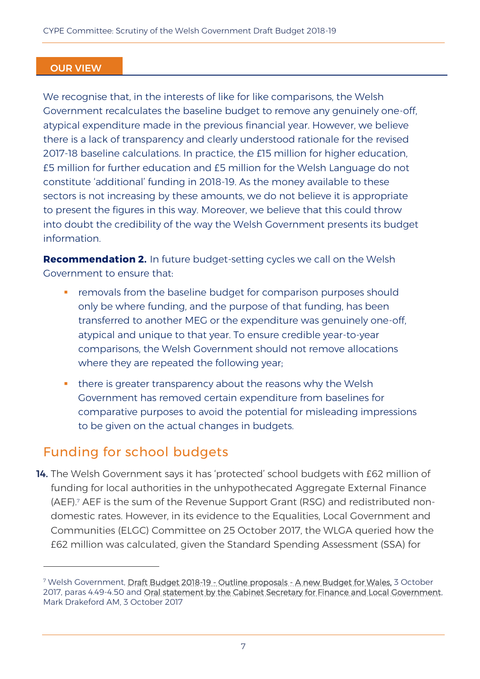#### OUR VIEW

We recognise that, in the interests of like for like comparisons, the Welsh Government recalculates the baseline budget to remove any genuinely one-off, atypical expenditure made in the previous financial year. However, we believe there is a lack of transparency and clearly understood rationale for the revised 2017-18 baseline calculations. In practice, the £15 million for higher education, £5 million for further education and £5 million for the Welsh Language do not constitute 'additional' funding in 2018-19. As the money available to these sectors is not increasing by these amounts, we do not believe it is appropriate to present the figures in this way. Moreover, we believe that this could throw into doubt the credibility of the way the Welsh Government presents its budget information.

**Recommendation 2.** In future budget-setting cycles we call on the Welsh Government to ensure that:

- removals from the baseline budget for comparison purposes should only be where funding, and the purpose of that funding, has been transferred to another MEG or the expenditure was genuinely one-off, atypical and unique to that year. To ensure credible year-to-year comparisons, the Welsh Government should not remove allocations where they are repeated the following year;
- **there is greater transparency about the reasons why the Welsh** Government has removed certain expenditure from baselines for comparative purposes to avoid the potential for misleading impressions to be given on the actual changes in budgets.

### Funding for school budgets

 $\overline{a}$ 

14. The Welsh Government says it has 'protected' school budgets with £62 million of funding for local authorities in the unhypothecated Aggregate External Finance (AEF).<sup>7</sup> AEF is the sum of the Revenue Support Grant (RSG) and redistributed nondomestic rates. However, in its evidence to the Equalities, Local Government and Communities (ELGC) Committee on 25 October 2017, the WLGA queried how the £62 million was calculated, given the Standard Spending Assessment (SSA) for

<sup>&</sup>lt;sup>7</sup> Welsh Government, [Draft Budget 2018-19 - Outline proposals - A new Budget for Wales,](http://gov.wales/docs/caecd/publications/171003-budget-narrative-a-en.pdf) 3 October 2017, paras 4.49-4.50 and [Oral statement by the Cabinet Secretary for Finance and Local Government,](http://www.assembly.wales/en/bus-home/pages/rop.aspx?meetingid=4646&assembly=5&c=Record%20of%20Proceedings#C495675) Mark Drakeford AM, 3 October 2017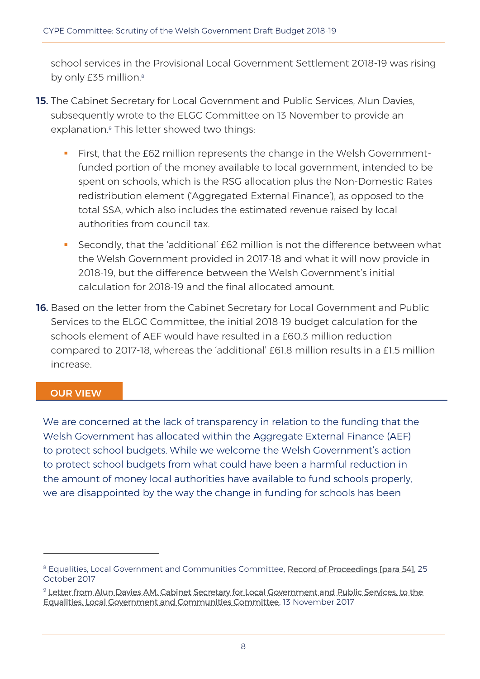school services in the Provisional Local Government Settlement 2018-19 was rising by only £35 million.<sup>8</sup>

- 15. The Cabinet Secretary for Local Government and Public Services, Alun Davies, subsequently wrote to the ELGC Committee on 13 November to provide an explanation.<sup>9</sup> This letter showed two things:
	- **First, that the £62 million represents the change in the Welsh Government**funded portion of the money available to local government, intended to be spent on schools, which is the RSG allocation plus the Non-Domestic Rates redistribution element ('Aggregated External Finance'), as opposed to the total SSA, which also includes the estimated revenue raised by local authorities from council tax.
	- Secondly, that the 'additional' £62 million is not the difference between what the Welsh Government provided in 2017-18 and what it will now provide in 2018-19, but the difference between the Welsh Government's initial calculation for 2018-19 and the final allocated amount.
- 16. Based on the letter from the Cabinet Secretary for Local Government and Public Services to the ELGC Committee, the initial 2018-19 budget calculation for the schools element of AEF would have resulted in a £60.3 million reduction compared to 2017-18, whereas the 'additional' £61.8 million results in a £1.5 million increase.

#### OUR VIEW

 $\overline{a}$ 

We are concerned at the lack of transparency in relation to the funding that the Welsh Government has allocated within the Aggregate External Finance (AEF) to protect school budgets. While we welcome the Welsh Government's action to protect school budgets from what could have been a harmful reduction in the amount of money local authorities have available to fund schools properly, we are disappointed by the way the change in funding for schools has been

<sup>&</sup>lt;sup>8</sup> Equalities, Local Government and Communities Committee, [Record of Proceedings \[para 54\],](http://senedd.assembly.wales/documents/s67983/25%20October%202017.html?CT=2#eitem3) 25 October 2017

<sup>&</sup>lt;sup>9</sup> Letter from Alun Davies AM, Cabinet Secretary for Local Government and Public Services, to the [Equalities, Local Government and Communities Committee,](http://senedd.assembly.wales/documents/s68559/Letter%20from%20the%20Cabinet%20Secretary%20for%20Local%20Government%20and%20Public%20Services%20to%20the%20Chair%20of%20the%20Equal.pdf) 13 November 2017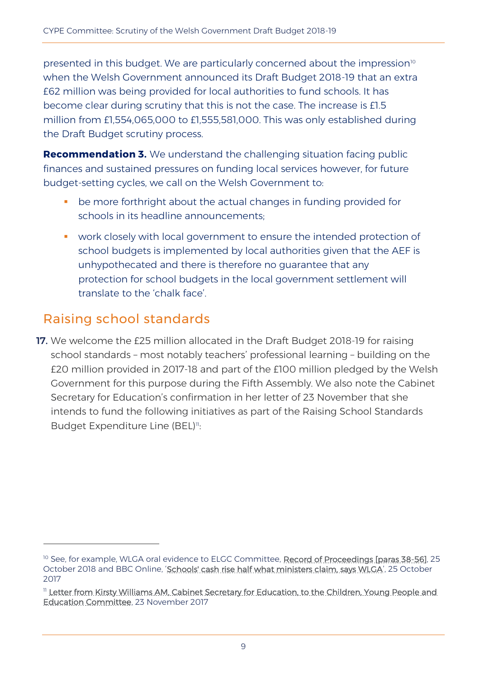presented in this budget. We are particularly concerned about the impression<sup>10</sup> when the Welsh Government announced its Draft Budget 2018-19 that an extra £62 million was being provided for local authorities to fund schools. It has become clear during scrutiny that this is not the case. The increase is £1.5 million from £1,554,065,000 to £1,555,581,000. This was only established during the Draft Budget scrutiny process.

**Recommendation 3.** We understand the challenging situation facing public finances and sustained pressures on funding local services however, for future budget-setting cycles, we call on the Welsh Government to:

- be more forthright about the actual changes in funding provided for schools in its headline announcements;
- work closely with local government to ensure the intended protection of school budgets is implemented by local authorities given that the AEF is unhypothecated and there is therefore no guarantee that any protection for school budgets in the local government settlement will translate to the 'chalk face'.

### Raising school standards

 $\overline{a}$ 

17. We welcome the £25 million allocated in the Draft Budget 2018-19 for raising school standards – most notably teachers' professional learning – building on the £20 million provided in 2017-18 and part of the £100 million pledged by the Welsh Government for this purpose during the Fifth Assembly. We also note the Cabinet Secretary for Education's confirmation in her letter of 23 November that she intends to fund the following initiatives as part of the Raising School Standards Budget Expenditure Line (BEL)<sup>11</sup>:

<sup>&</sup>lt;sup>10</sup> See, for example, WLGA oral evidence to ELGC Committee, **Record of Proceedings [paras 38-56]**, 25 October 2018 and BBC Online, '[Schools' cash rise half what ministers claim, says WLGA](http://www.bbc.co.uk/news/uk-wales-politics-41752749)', 25 October 2017

<sup>11</sup> [Letter from Kirsty Williams AM, Cabinet Secretary for Education, to the Children, Young People and](http://senedd.assembly.wales/documents/s68967/CYPE5-33-17%20-%20Paper%20to%20note%203.pdf)  [Education Committee,](http://senedd.assembly.wales/documents/s68967/CYPE5-33-17%20-%20Paper%20to%20note%203.pdf) 23 November 2017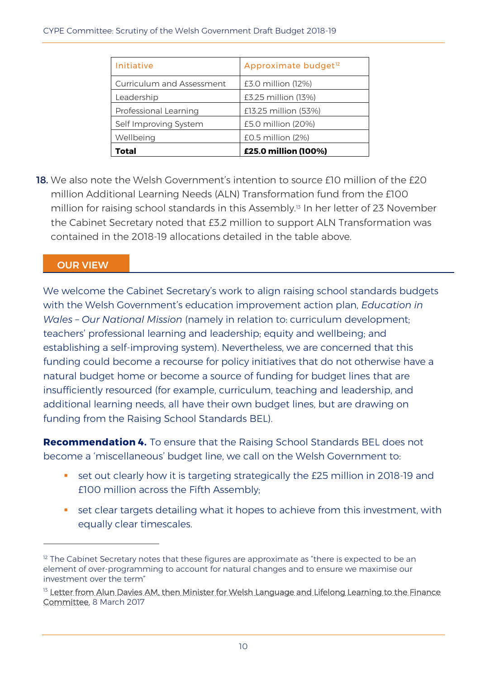| Initiative                       | Approximate budget <sup>12</sup> |
|----------------------------------|----------------------------------|
| <b>Curriculum and Assessment</b> | £3.0 million (12%)               |
| Leadership                       | £3.25 million (13%)              |
| Professional Learning            | £13.25 million (53%)             |
| Self Improving System            | £5.0 million (20%)               |
| Wellbeing                        | £0.5 million (2%)                |
| Total                            | £25.0 million (100%)             |

18. We also note the Welsh Government's intention to source f10 million of the f20 million Additional Learning Needs (ALN) Transformation fund from the £100 million for raising school standards in this Assembly.<sup>13</sup> In her letter of 23 November the Cabinet Secretary noted that £3.2 million to support ALN Transformation was contained in the 2018-19 allocations detailed in the table above.

#### OUR VIEW

 $\overline{a}$ 

We welcome the Cabinet Secretary's work to align raising school standards budgets with the Welsh Government's education improvement action plan, *Education in Wales – Our National Mission* (namely in relation to: curriculum development; teachers' professional learning and leadership; equity and wellbeing; and establishing a self-improving system). Nevertheless, we are concerned that this funding could become a recourse for policy initiatives that do not otherwise have a natural budget home or become a source of funding for budget lines that are insufficiently resourced (for example, curriculum, teaching and leadership, and additional learning needs, all have their own budget lines, but are drawing on funding from the Raising School Standards BEL).

**Recommendation 4.** To ensure that the Raising School Standards BEL does not become a 'miscellaneous' budget line, we call on the Welsh Government to:

- set out clearly how it is targeting strategically the £25 million in 2018-19 and £100 million across the Fifth Assembly;
- **set clear targets detailing what it hopes to achieve from this investment, with** equally clear timescales.

 $12$  The Cabinet Secretary notes that these figures are approximate as "there is expected to be an element of over-programming to account for natural changes and to ensure we maximise our investment over the term"

<sup>&</sup>lt;sup>13</sup> Letter from Alun Davies AM, then Minister for Welsh Language and Lifelong Learning to the Finance [Committee,](http://senedd.assembly.wales/documents/s60540/Letter%20from%20the%20Minister%20for%20Lifelong%20Learning%20and%20Welsh%20Language%20to%20Finance%20Committee%20-%208%20March%202.pdf) 8 March 2017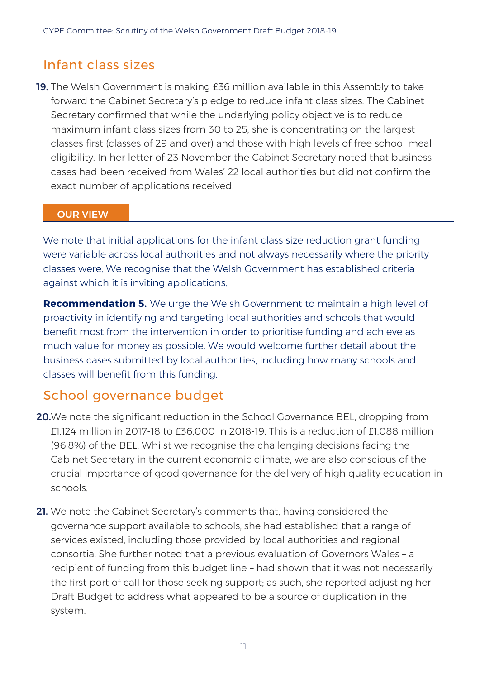### Infant class sizes

19. The Welsh Government is making £36 million available in this Assembly to take forward the Cabinet Secretary's pledge to reduce infant class sizes. The Cabinet Secretary confirmed that while the underlying policy objective is to reduce maximum infant class sizes from 30 to 25, she is concentrating on the largest classes first (classes of 29 and over) and those with high levels of free school meal eligibility. In her letter of 23 November the Cabinet Secretary noted that business cases had been received from Wales' 22 local authorities but did not confirm the exact number of applications received.

#### OUR VIEW

We note that initial applications for the infant class size reduction grant funding were variable across local authorities and not always necessarily where the priority classes were. We recognise that the Welsh Government has established criteria against which it is inviting applications.

**Recommendation 5.** We urge the Welsh Government to maintain a high level of proactivity in identifying and targeting local authorities and schools that would benefit most from the intervention in order to prioritise funding and achieve as much value for money as possible. We would welcome further detail about the business cases submitted by local authorities, including how many schools and classes will benefit from this funding.

### School governance budget

- **20.**We note the significant reduction in the School Governance BEL, dropping from £1.124 million in 2017-18 to £36,000 in 2018-19. This is a reduction of £1.088 million (96.8%) of the BEL. Whilst we recognise the challenging decisions facing the Cabinet Secretary in the current economic climate, we are also conscious of the crucial importance of good governance for the delivery of high quality education in schools.
- 21. We note the Cabinet Secretary's comments that, having considered the governance support available to schools, she had established that a range of services existed, including those provided by local authorities and regional consortia. She further noted that a previous evaluation of Governors Wales – a recipient of funding from this budget line – had shown that it was not necessarily the first port of call for those seeking support; as such, she reported adjusting her Draft Budget to address what appeared to be a source of duplication in the system.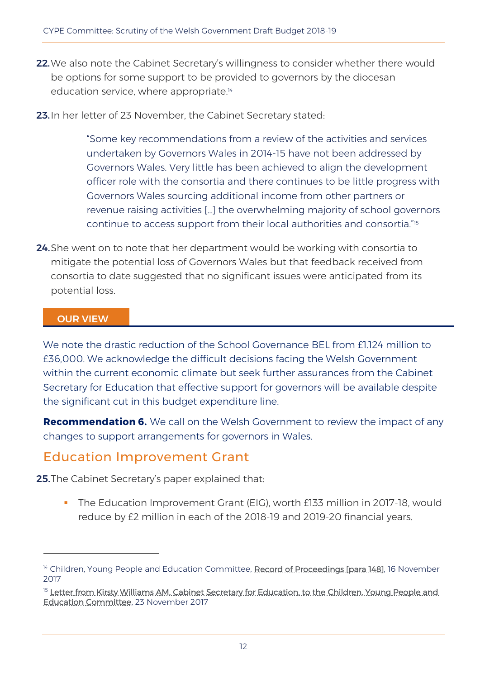- 22. We also note the Cabinet Secretary's willingness to consider whether there would be options for some support to be provided to governors by the diocesan education service, where appropriate.<sup>14</sup>
- 23. In her letter of 23 November, the Cabinet Secretary stated:

"Some key recommendations from a review of the activities and services undertaken by Governors Wales in 2014-15 have not been addressed by Governors Wales. Very little has been achieved to align the development officer role with the consortia and there continues to be little progress with Governors Wales sourcing additional income from other partners or revenue raising activities […] the overwhelming majority of school governors continue to access support from their local authorities and consortia." 15

**24.** She went on to note that her department would be working with consortia to mitigate the potential loss of Governors Wales but that feedback received from consortia to date suggested that no significant issues were anticipated from its potential loss.

#### OUR VIEW

 $\overline{a}$ 

We note the drastic reduction of the School Governance BEL from £1.124 million to £36,000. We acknowledge the difficult decisions facing the Welsh Government within the current economic climate but seek further assurances from the Cabinet Secretary for Education that effective support for governors will be available despite the significant cut in this budget expenditure line.

**Recommendation 6.** We call on the Welsh Government to review the impact of any changes to support arrangements for governors in Wales.

### Education Improvement Grant

**25.**The Cabinet Secretary's paper explained that:

 The Education Improvement Grant (EIG), worth £133 million in 2017-18, would reduce by £2 million in each of the 2018-19 and 2019-20 financial years.

<sup>&</sup>lt;sup>14</sup> Children, Young People and Education Committee, [Record of Proceedings \[para 148\],](http://record.assembly.wales/Committee/4316) 16 November 2017

<sup>&</sup>lt;sup>15</sup> Letter from Kirsty Williams AM, Cabinet Secretary for Education, to the Children, Young People and [Education Committee,](http://senedd.assembly.wales/documents/s68966/CYPE5-33-17%20-%20Paper%20to%20note%202.pdf) 23 November 2017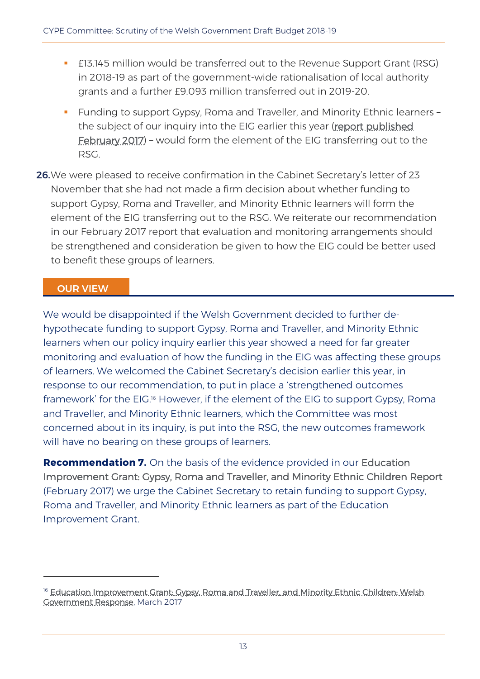- £13.145 million would be transferred out to the Revenue Support Grant (RSG) in 2018-19 as part of the government-wide rationalisation of local authority grants and a further £9.093 million transferred out in 2019-20.
- **Funding to support Gypsy, Roma and Traveller, and Minority Ethnic learners** the subject of our inquiry into the EIG earlier this year (report published [February 2017\)](http://www.assembly.wales/laid%20documents/cr-ld10943/cr-ld10943-e.pdf) – would form the element of the EIG transferring out to the RSG.
- 26. We were pleased to receive confirmation in the Cabinet Secretary's letter of 23 November that she had not made a firm decision about whether funding to support Gypsy, Roma and Traveller, and Minority Ethnic learners will form the element of the EIG transferring out to the RSG. We reiterate our recommendation in our February 2017 report that evaluation and monitoring arrangements should be strengthened and consideration be given to how the EIG could be better used to benefit these groups of learners.

#### OUR VIEW

 $\overline{a}$ 

We would be disappointed if the Welsh Government decided to further dehypothecate funding to support Gypsy, Roma and Traveller, and Minority Ethnic learners when our policy inquiry earlier this year showed a need for far greater monitoring and evaluation of how the funding in the EIG was affecting these groups of learners. We welcomed the Cabinet Secretary's decision earlier this year, in response to our recommendation, to put in place a 'strengthened outcomes framework' for the EIG.<sup>16</sup> However, if the element of the EIG to support Gypsy, Roma and Traveller, and Minority Ethnic learners, which the Committee was most concerned about in its inquiry, is put into the RSG, the new outcomes framework will have no bearing on these groups of learners.

**Recommendation 7.** On the basis of the evidence provided in our [Education](http://www.assembly.wales/laid%20documents/cr-ld10943/cr-ld10943-e.pdf)  [Improvement Grant: Gypsy, Roma and Traveller, and Minority Ethnic Children Report](http://www.assembly.wales/laid%20documents/cr-ld10943/cr-ld10943-e.pdf) (February 2017) we urge the Cabinet Secretary to retain funding to support Gypsy, Roma and Traveller, and Minority Ethnic learners as part of the Education Improvement Grant.

<sup>&</sup>lt;sup>16</sup> Education Improvement Grant: Gypsy, Roma and Traveller, and Minority Ethnic Children: Welsh [Government Response,](http://www.assembly.wales/laid%20documents/gen-ld11030/gen-ld11030-e.pdf) March 2017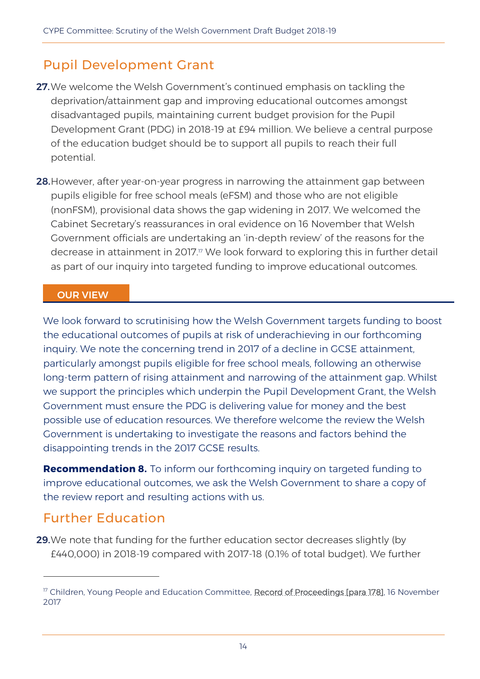### Pupil Development Grant

- 27. We welcome the Welsh Government's continued emphasis on tackling the deprivation/attainment gap and improving educational outcomes amongst disadvantaged pupils, maintaining current budget provision for the Pupil Development Grant (PDG) in 2018-19 at £94 million. We believe a central purpose of the education budget should be to support all pupils to reach their full potential.
- 28. However, after year-on-year progress in narrowing the attainment gap between pupils eligible for free school meals (eFSM) and those who are not eligible (nonFSM), provisional data shows the gap widening in 2017. We welcomed the Cabinet Secretary's reassurances in oral evidence on 16 November that Welsh Government officials are undertaking an 'in-depth review' of the reasons for the decrease in attainment in 2017.<sup>17</sup> We look forward to exploring this in further detail as part of our inquiry into targeted funding to improve educational outcomes.

#### OUR VIEW

We look forward to scrutinising how the Welsh Government targets funding to boost the educational outcomes of pupils at risk of underachieving in our forthcoming inquiry. We note the concerning trend in 2017 of a decline in GCSE attainment, particularly amongst pupils eligible for free school meals, following an otherwise long-term pattern of rising attainment and narrowing of the attainment gap. Whilst we support the principles which underpin the Pupil Development Grant, the Welsh Government must ensure the PDG is delivering value for money and the best possible use of education resources. We therefore welcome the review the Welsh Government is undertaking to investigate the reasons and factors behind the disappointing trends in the 2017 GCSE results.

**Recommendation 8.** To inform our forthcoming inquiry on targeted funding to improve educational outcomes, we ask the Welsh Government to share a copy of the review report and resulting actions with us.

### Further Education

 $\overline{a}$ 

29. We note that funding for the further education sector decreases slightly (by £440,000) in 2018-19 compared with 2017-18 (0.1% of total budget). We further

<sup>&</sup>lt;sup>17</sup> Children, Young People and Education Committee, [Record of Proceedings \[para 178\],](http://record.assembly.wales/Committee/4316) 16 November 2017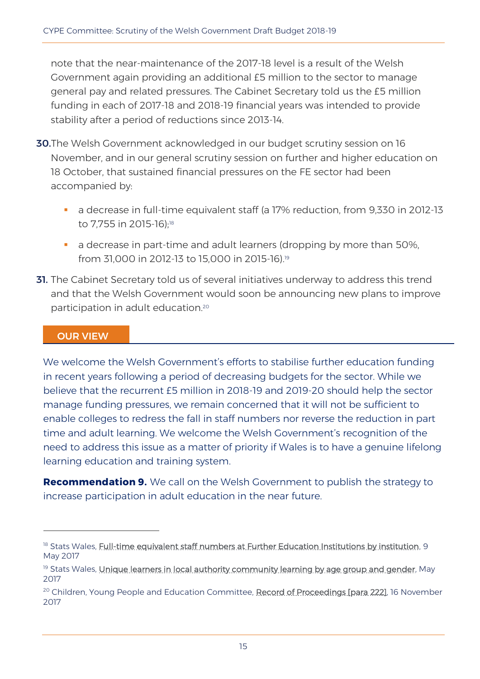note that the near-maintenance of the 2017-18 level is a result of the Welsh Government again providing an additional £5 million to the sector to manage general pay and related pressures. The Cabinet Secretary told us the £5 million funding in each of 2017-18 and 2018-19 financial years was intended to provide stability after a period of reductions since 2013-14.

- 30.The Welsh Government acknowledged in our budget scrutiny session on 16 November, and in our general scrutiny session on further and higher education on 18 October, that sustained financial pressures on the FE sector had been accompanied by:
	- a decrease in full-time equivalent staff (a 17% reduction, from 9,330 in 2012-13 to 7,755 in 2015-16); 18
	- a decrease in part-time and adult learners (dropping by more than 50%, from 31,000 in 2012-13 to 15,000 in 2015-16). 19
- **31.** The Cabinet Secretary told us of several initiatives underway to address this trend and that the Welsh Government would soon be announcing new plans to improve participation in adult education.<sup>20</sup>

#### OUR VIEW

-

We welcome the Welsh Government's efforts to stabilise further education funding in recent years following a period of decreasing budgets for the sector. While we believe that the recurrent £5 million in 2018-19 and 2019-20 should help the sector manage funding pressures, we remain concerned that it will not be sufficient to enable colleges to redress the fall in staff numbers nor reverse the reduction in part time and adult learning. We welcome the Welsh Government's recognition of the need to address this issue as a matter of priority if Wales is to have a genuine lifelong learning education and training system.

**Recommendation 9.** We call on the Welsh Government to publish the strategy to increase participation in adult education in the near future.

<sup>&</sup>lt;sup>18</sup> Stats Wales, [Full-time equivalent staff numbers at Further Education Institutions by institution,](https://statswales.gov.wales/Catalogue/Education-and-Skills/Post-16-Education-and-Training/Further-Education-and-Work-Based-Learning/Staff-at-Further-Education-Institutions/fulltimeequivalentstaffnumbersatfurthereducationinstitutions-by-institution) 9 May 2017

<sup>&</sup>lt;sup>19</sup> Stats Wales, Unique learners in local authority community learning by age group and gender. May 2017

<sup>&</sup>lt;sup>20</sup> Children, Young People and Education Committee, [Record of Proceedings \[para 222\],](http://record.assembly.wales/Committee/4316) 16 November 2017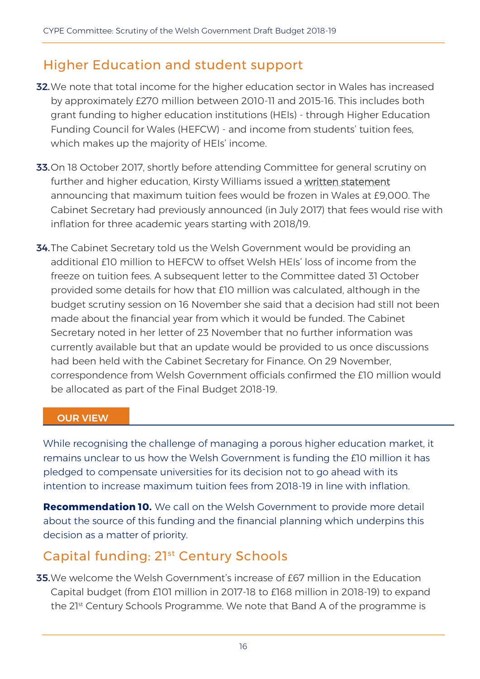### Higher Education and student support

- **32.** We note that total income for the higher education sector in Wales has increased by approximately £270 million between 2010-11 and 2015-16. This includes both grant funding to higher education institutions (HEIs) - through Higher Education Funding Council for Wales (HEFCW) - and income from students' tuition fees, which makes up the majority of HEIs' income.
- 33. On 18 October 2017, shortly before attending Committee for general scrutiny on further and higher education, Kirsty Williams issued a [written statement](http://gov.wales/about/cabinet/cabinetstatements/2017/studentfinanceupdate/?skip=1&lang=en) announcing that maximum tuition fees would be frozen in Wales at £9,000. The Cabinet Secretary had previously announced (in July 2017) that fees would rise with inflation for three academic years starting with 2018/19.
- **34.** The Cabinet Secretary told us the Welsh Government would be providing an additional £10 million to HEFCW to offset Welsh HEIs' loss of income from the freeze on tuition fees. A subsequent letter to the Committee dated 31 October provided some details for how that £10 million was calculated, although in the budget scrutiny session on 16 November she said that a decision had still not been made about the financial year from which it would be funded. The Cabinet Secretary noted in her letter of 23 November that no further information was currently available but that an update would be provided to us once discussions had been held with the Cabinet Secretary for Finance. On 29 November, correspondence from Welsh Government officials confirmed the £10 million would be allocated as part of the Final Budget 2018-19.

#### OUR VIEW

While recognising the challenge of managing a porous higher education market, it remains unclear to us how the Welsh Government is funding the £10 million it has pledged to compensate universities for its decision not to go ahead with its intention to increase maximum tuition fees from 2018-19 in line with inflation.

**Recommendation 10.** We call on the Welsh Government to provide more detail about the source of this funding and the financial planning which underpins this decision as a matter of priority.

### Capital funding: 21<sup>st</sup> Century Schools

**35.** We welcome the Welsh Government's increase of £67 million in the Education Capital budget (from £101 million in 2017-18 to £168 million in 2018-19) to expand the 21<sup>st</sup> Century Schools Programme. We note that Band A of the programme is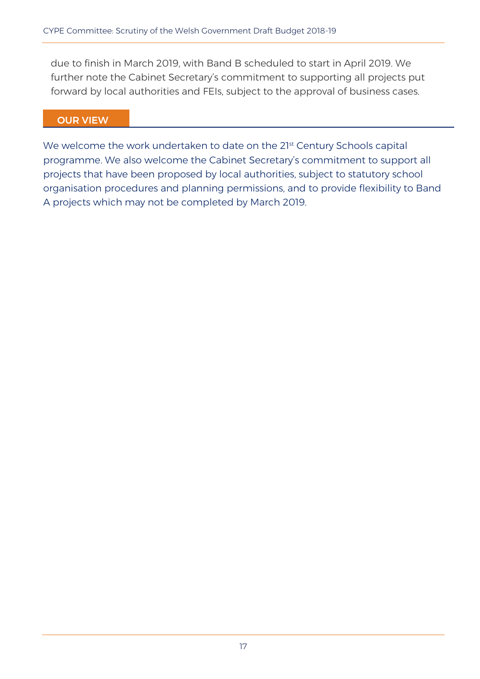due to finish in March 2019, with Band B scheduled to start in April 2019. We further note the Cabinet Secretary's commitment to supporting all projects put forward by local authorities and FEIs, subject to the approval of business cases.

#### OUR VIEW

We welcome the work undertaken to date on the 21st Century Schools capital programme. We also welcome the Cabinet Secretary's commitment to support all projects that have been proposed by local authorities, subject to statutory school organisation procedures and planning permissions, and to provide flexibility to Band A projects which may not be completed by March 2019.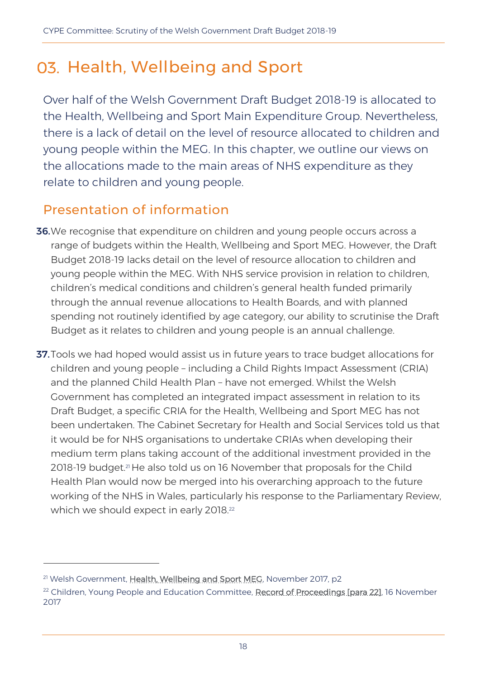# 03. Health, Wellbeing and Sport

Over half of the Welsh Government Draft Budget 2018-19 is allocated to the Health, Wellbeing and Sport Main Expenditure Group. Nevertheless, there is a lack of detail on the level of resource allocated to children and young people within the MEG. In this chapter, we outline our views on the allocations made to the main areas of NHS expenditure as they relate to children and young people.

### Presentation of information

- 36.We recognise that expenditure on children and young people occurs across a range of budgets within the Health, Wellbeing and Sport MEG. However, the Draft Budget 2018-19 lacks detail on the level of resource allocation to children and young people within the MEG. With NHS service provision in relation to children, children's medical conditions and children's general health funded primarily through the annual revenue allocations to Health Boards, and with planned spending not routinely identified by age category, our ability to scrutinise the Draft Budget as it relates to children and young people is an annual challenge.
- **37.** Tools we had hoped would assist us in future years to trace budget allocations for children and young people – including a Child Rights Impact Assessment (CRIA) and the planned Child Health Plan – have not emerged. Whilst the Welsh Government has completed an integrated impact assessment in relation to its Draft Budget, a specific CRIA for the Health, Wellbeing and Sport MEG has not been undertaken. The Cabinet Secretary for Health and Social Services told us that it would be for NHS organisations to undertake CRIAs when developing their medium term plans taking account of the additional investment provided in the 2018-19 budget.<sup>21</sup> He also told us on 16 November that proposals for the Child Health Plan would now be merged into his overarching approach to the future working of the NHS in Wales, particularly his response to the Parliamentary Review, which we should expect in early 2018.<sup>22</sup>

 $\overline{a}$ 

<sup>&</sup>lt;sup>21</sup> Welsh Government, [Health, Wellbeing and Sport MEG,](http://senedd.assembly.wales/documents/s68417/CYPE5-31-17%20-%20Paper%201%20-%20Welsh%20Government%20paper%20to%20the%20CYPE%20Committee%20on%20the%20Health%20Wellbeing%20and%20.pdf) November 2017, p2

<sup>&</sup>lt;sup>22</sup> Children, Young People and Education Committee, [Record of Proceedings \[para 22\],](http://record.assembly.wales/Committee/4316) 16 November 2017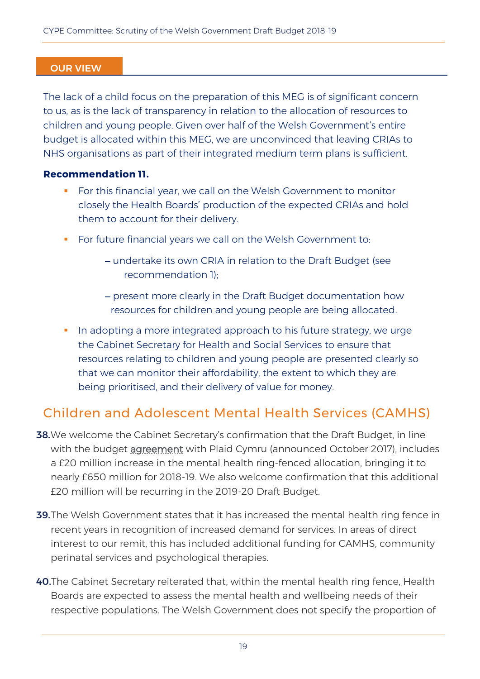#### OUR VIEW

The lack of a child focus on the preparation of this MEG is of significant concern to us, as is the lack of transparency in relation to the allocation of resources to children and young people. Given over half of the Welsh Government's entire budget is allocated within this MEG, we are unconvinced that leaving CRIAs to NHS organisations as part of their integrated medium term plans is sufficient.

#### **Recommendation 11.**

- **For this financial year, we call on the Welsh Government to monitor** closely the Health Boards' production of the expected CRIAs and hold them to account for their delivery.
- **For future financial years we call on the Welsh Government to:** 
	- undertake its own CRIA in relation to the Draft Budget (see recommendation 1);
	- present more clearly in the Draft Budget documentation how resources for children and young people are being allocated.
- In adopting a more integrated approach to his future strategy, we urge the Cabinet Secretary for Health and Social Services to ensure that resources relating to children and young people are presented clearly so that we can monitor their affordability, the extent to which they are being prioritised, and their delivery of value for money.

### Children and Adolescent Mental Health Services (CAMHS)

- **38.** We welcome the Cabinet Secretary's confirmation that the Draft Budget, in line with the budget [agreement](http://gov.wales/newsroom/finance1/2017/171001-budget-agreeement-between-welsh-government-and-plaid-cymru/?lang=en) with Plaid Cymru (announced October 2017), includes a £20 million increase in the mental health ring-fenced allocation, bringing it to nearly £650 million for 2018-19. We also welcome confirmation that this additional £20 million will be recurring in the 2019-20 Draft Budget.
- 39.The Welsh Government states that it has increased the mental health ring fence in recent years in recognition of increased demand for services. In areas of direct interest to our remit, this has included additional funding for CAMHS, community perinatal services and psychological therapies.
- 40.The Cabinet Secretary reiterated that, within the mental health ring fence, Health Boards are expected to assess the mental health and wellbeing needs of their respective populations. The Welsh Government does not specify the proportion of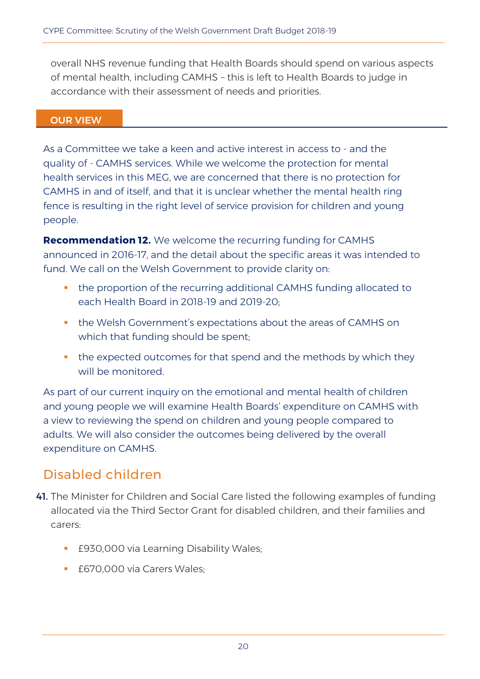overall NHS revenue funding that Health Boards should spend on various aspects of mental health, including CAMHS – this is left to Health Boards to judge in accordance with their assessment of needs and priorities.

#### OUR VIEW

As a Committee we take a keen and active interest in access to - and the quality of - CAMHS services. While we welcome the protection for mental health services in this MEG, we are concerned that there is no protection for CAMHS in and of itself, and that it is unclear whether the mental health ring fence is resulting in the right level of service provision for children and young people.

**Recommendation 12.** We welcome the recurring funding for CAMHS announced in 2016-17, and the detail about the specific areas it was intended to fund. We call on the Welsh Government to provide clarity on:

- the proportion of the recurring additional CAMHS funding allocated to each Health Board in 2018-19 and 2019-20;
- the Welsh Government's expectations about the areas of CAMHS on which that funding should be spent;
- the expected outcomes for that spend and the methods by which they will be monitored.

As part of our current inquiry on the emotional and mental health of children and young people we will examine Health Boards' expenditure on CAMHS with a view to reviewing the spend on children and young people compared to adults. We will also consider the outcomes being delivered by the overall expenditure on CAMHS.

### Disabled children

- 41. The Minister for Children and Social Care listed the following examples of funding allocated via the Third Sector Grant for disabled children, and their families and carers:
	- **Egothala Learning Disability Wales;**
	- £670,000 via Carers Wales;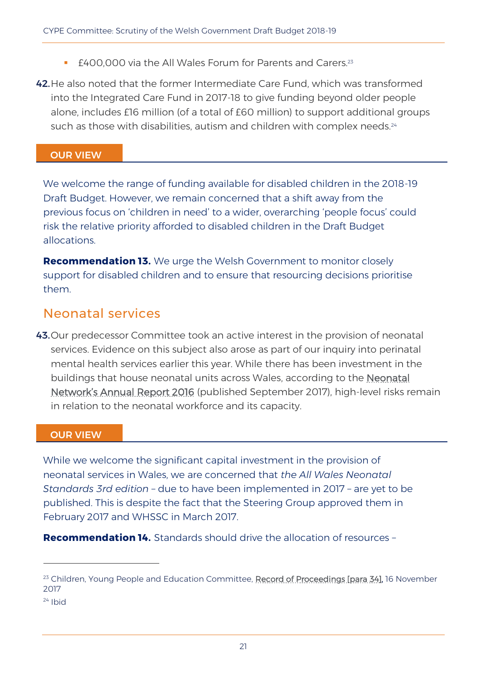£400,000 via the All Wales Forum for Parents and Carers.<sup>23</sup>

42.He also noted that the former Intermediate Care Fund, which was transformed into the Integrated Care Fund in 2017-18 to give funding beyond older people alone, includes £16 million (of a total of £60 million) to support additional groups such as those with disabilities, autism and children with complex needs.<sup>24</sup>

#### OUR VIEW

We welcome the range of funding available for disabled children in the 2018-19 Draft Budget. However, we remain concerned that a shift away from the previous focus on 'children in need' to a wider, overarching 'people focus' could risk the relative priority afforded to disabled children in the Draft Budget allocations.

**Recommendation 13.** We urge the Welsh Government to monitor closely support for disabled children and to ensure that resourcing decisions prioritise them.

### Neonatal services

43. Our predecessor Committee took an active interest in the provision of neonatal services. Evidence on this subject also arose as part of our inquiry into perinatal mental health services earlier this year. While there has been investment in the buildings that house neonatal units across Wales, according to the [Neonatal](http://www.walesneonatalnetwork.wales.nhs.uk/sitesplus/documents/1034/All%20Wales%20Annual%20Report%202016%20Final.pdf)  Network'[s Annual Report 2016](http://www.walesneonatalnetwork.wales.nhs.uk/sitesplus/documents/1034/All%20Wales%20Annual%20Report%202016%20Final.pdf) (published September 2017), high-level risks remain in relation to the neonatal workforce and its capacity.

#### OUR VIEW

While we welcome the significant capital investment in the provision of neonatal services in Wales, we are concerned that *the All Wales Neonatal Standards 3rd edition* – due to have been implemented in 2017 – are yet to be published. This is despite the fact that the Steering Group approved them in February 2017 and WHSSC in March 2017.

**Recommendation 14.** Standards should drive the allocation of resources –

 $\overline{a}$ 

<sup>&</sup>lt;sup>23</sup> Children, Young People and Education Committee, [Record of Proceedings \[para 34\],](http://record.assembly.wales/Committee/4316) 16 November 2017

 $24$  Ibid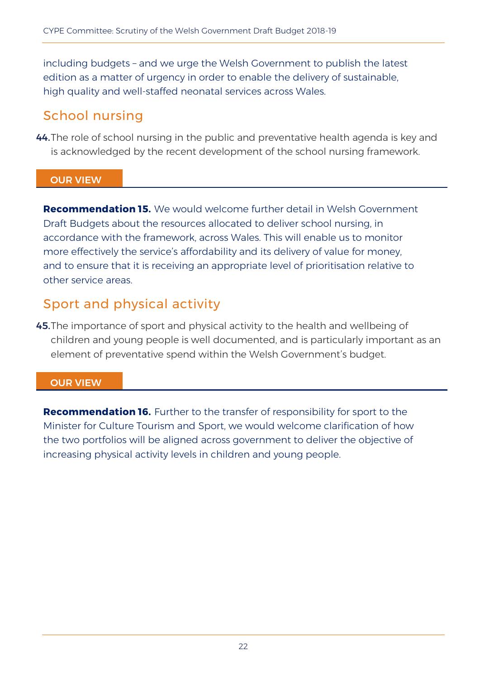including budgets – and we urge the Welsh Government to publish the latest edition as a matter of urgency in order to enable the delivery of sustainable, high quality and well-staffed neonatal services across Wales.

### School nursing

44.The role of school nursing in the public and preventative health agenda is key and is acknowledged by the recent development of the school nursing framework.

#### OUR VIEW

**Recommendation 15.** We would welcome further detail in Welsh Government Draft Budgets about the resources allocated to deliver school nursing, in accordance with the framework, across Wales. This will enable us to monitor more effectively the service's affordability and its delivery of value for money, and to ensure that it is receiving an appropriate level of prioritisation relative to other service areas.

### Sport and physical activity

45. The importance of sport and physical activity to the health and wellbeing of children and young people is well documented, and is particularly important as an element of preventative spend within the Welsh Government's budget.

#### OUR VIEW

**Recommendation 16.** Further to the transfer of responsibility for sport to the Minister for Culture Tourism and Sport, we would welcome clarification of how the two portfolios will be aligned across government to deliver the objective of increasing physical activity levels in children and young people.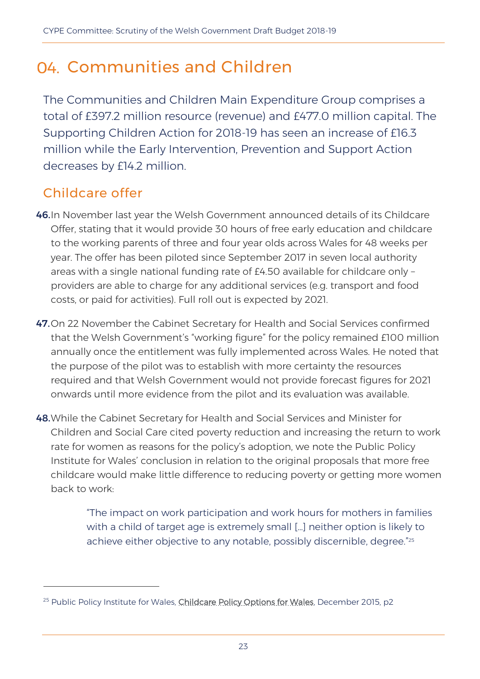# 04 Communities and Children

The Communities and Children Main Expenditure Group comprises a total of £397.2 million resource (revenue) and £477.0 million capital. The Supporting Children Action for 2018-19 has seen an increase of £16.3 million while the Early Intervention, Prevention and Support Action decreases by £14.2 million.

### Childcare offer

 $\overline{a}$ 

- 46.In November last year the Welsh Government announced details of its Childcare Offer, stating that it would provide 30 hours of free early education and childcare to the working parents of three and four year olds across Wales for 48 weeks per year. The offer has been piloted since September 2017 in seven local authority areas with a single national funding rate of £4.50 available for childcare only – providers are able to charge for any additional services (e.g. transport and food costs, or paid for activities). Full roll out is expected by 2021.
- 47.On 22 November the Cabinet Secretary for Health and Social Services confirmed that the Welsh Government's "working figure" for the policy remained £100 million annually once the entitlement was fully implemented across Wales. He noted that the purpose of the pilot was to establish with more certainty the resources required and that Welsh Government would not provide forecast figures for 2021 onwards until more evidence from the pilot and its evaluation was available.
- 48.While the Cabinet Secretary for Health and Social Services and Minister for Children and Social Care cited poverty reduction and increasing the return to work rate for women as reasons for the policy's adoption, we note the Public Policy Institute for Wales' conclusion in relation to the original proposals that more free childcare would make little difference to reducing poverty or getting more women back to work:

"The impact on work participation and work hours for mothers in families with a child of target age is extremely small […] neither option is likely to achieve either objective to any notable, possibly discernible, degree." 25

<sup>&</sup>lt;sup>25</sup> Public Policy Institute for Wales, *Childcare Policy Options for Wales*, December 2015, p2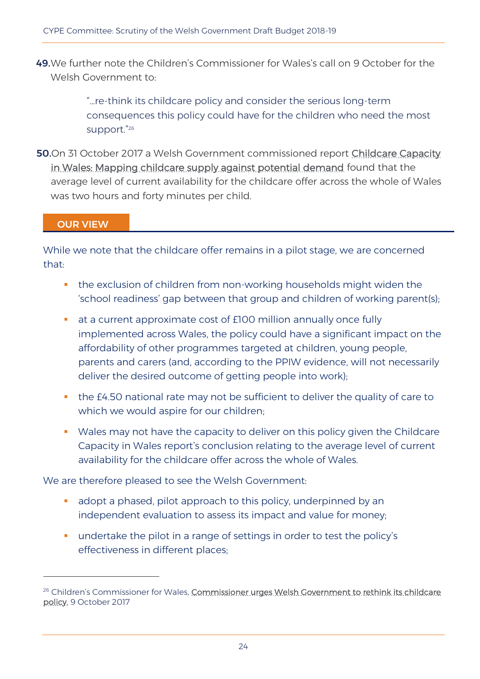49.We further note the Children's Commissioner for Wales's call on 9 October for the Welsh Government to:

> "…re-think its childcare policy and consider the serious long-term consequences this policy could have for the children who need the most support." 26

50.On 31 October 2017 a Welsh Government commissioned report Childcare Capacity [in Wales: Mapping childcare supply against potential demand](http://gov.wales/docs/caecd/research/2017/171031-childcare-capacity-en.pdf) found that the average level of current availability for the childcare offer across the whole of Wales was two hours and forty minutes per child.

OUR VIEW

 $\overline{a}$ 

While we note that the childcare offer remains in a pilot stage, we are concerned that:

- **the exclusion of children from non-working households might widen the** 'school readiness' gap between that group and children of working parent(s);
- at a current approximate cost of £100 million annually once fully implemented across Wales, the policy could have a significant impact on the affordability of other programmes targeted at children, young people, parents and carers (and, according to the PPIW evidence, will not necessarily deliver the desired outcome of getting people into work);
- **the £4.50 national rate may not be sufficient to deliver the quality of care to** which we would aspire for our children:
- Wales may not have the capacity to deliver on this policy given the Childcare Capacity in Wales report's conclusion relating to the average level of current availability for the childcare offer across the whole of Wales.

We are therefore pleased to see the Welsh Government:

- adopt a phased, pilot approach to this policy, underpinned by an independent evaluation to assess its impact and value for money;
- **undertake the pilot in a range of settings in order to test the policy's** effectiveness in different places;

<sup>&</sup>lt;sup>26</sup> Children's Commissioner for Wales, Commissioner urges Welsh Government to rethink its childcare [policy,](https://www.childcomwales.org.uk/2017/10/commissioner-urges-welsh-government-rethink-childcare-policy/) 9 October 2017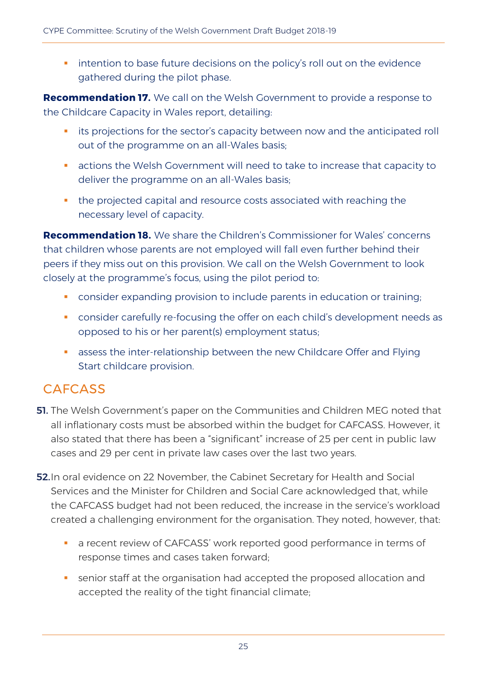**EXT** intention to base future decisions on the policy's roll out on the evidence gathered during the pilot phase.

**Recommendation 17.** We call on the Welsh Government to provide a response to the Childcare Capacity in Wales report, detailing:

- **EXTER its projections for the sector's capacity between now and the anticipated roll** out of the programme on an all-Wales basis;
- actions the Welsh Government will need to take to increase that capacity to deliver the programme on an all-Wales basis;
- the projected capital and resource costs associated with reaching the necessary level of capacity.

**Recommendation 18.** We share the Children's Commissioner for Wales' concerns that children whose parents are not employed will fall even further behind their peers if they miss out on this provision. We call on the Welsh Government to look closely at the programme's focus, using the pilot period to:

- consider expanding provision to include parents in education or training;
- **CONSTANGER CAREFULLY THE CONSTANGER CONSTANGER PROPERTY CONSTANGER** 1 CONSIDENT CONSIDENT CONSTANTING AS opposed to his or her parent(s) employment status;
- **B** assess the inter-relationship between the new Childcare Offer and Flying Start childcare provision.

### **CAFCASS**

- **51.** The Welsh Government's paper on the Communities and Children MEG noted that all inflationary costs must be absorbed within the budget for CAFCASS. However, it also stated that there has been a "significant" increase of 25 per cent in public law cases and 29 per cent in private law cases over the last two years.
- **52.** In oral evidence on 22 November, the Cabinet Secretary for Health and Social Services and the Minister for Children and Social Care acknowledged that, while the CAFCASS budget had not been reduced, the increase in the service's workload created a challenging environment for the organisation. They noted, however, that:
	- a recent review of CAFCASS' work reported good performance in terms of response times and cases taken forward;
	- senior staff at the organisation had accepted the proposed allocation and accepted the reality of the tight financial climate;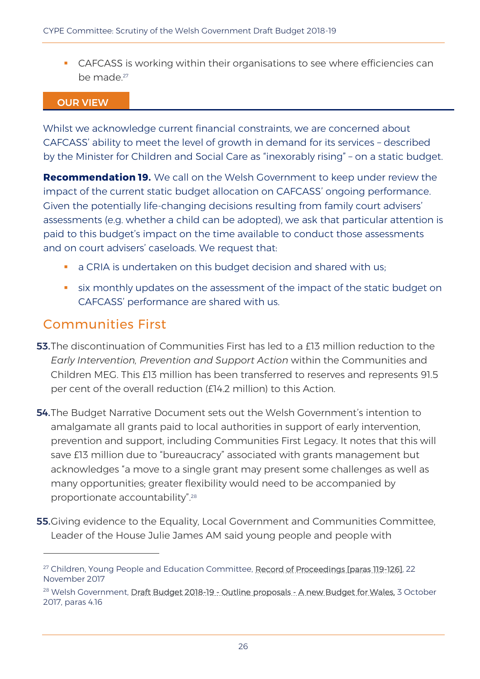CAFCASS is working within their organisations to see where efficiencies can be made. 27

#### OUR VIEW

Whilst we acknowledge current financial constraints, we are concerned about CAFCASS' ability to meet the level of growth in demand for its services – described by the Minister for Children and Social Care as "inexorably rising" – on a static budget.

**Recommendation 19.** We call on the Welsh Government to keep under review the impact of the current static budget allocation on CAFCASS' ongoing performance. Given the potentially life-changing decisions resulting from family court advisers' assessments (e.g. whether a child can be adopted), we ask that particular attention is paid to this budget's impact on the time available to conduct those assessments and on court advisers' caseloads. We request that:

- a CRIA is undertaken on this budget decision and shared with us;
- **shippe is all the state on the assessment of the impact of the static budget on** CAFCASS' performance are shared with us.

### Communities First

 $\overline{a}$ 

- 53. The discontinuation of Communities First has led to a £13 million reduction to the *Early Intervention, Prevention and Support Action* within the Communities and Children MEG. This £13 million has been transferred to reserves and represents 91.5 per cent of the overall reduction (£14.2 million) to this Action.
- **54.** The Budget Narrative Document sets out the Welsh Government's intention to amalgamate all grants paid to local authorities in support of early intervention, prevention and support, including Communities First Legacy. It notes that this will save £13 million due to "bureaucracy" associated with grants management but acknowledges "a move to a single grant may present some challenges as well as many opportunities; greater flexibility would need to be accompanied by proportionate accountability".<sup>28</sup>
- **55.** Giving evidence to the Equality, Local Government and Communities Committee, Leader of the House Julie James AM said young people and people with

<sup>&</sup>lt;sup>27</sup> Children, Young People and Education Committee, [Record of Proceedings \[paras 119-126\],](http://record.assembly.wales/Committee/4317#C35470) 22 November 2017

<sup>&</sup>lt;sup>28</sup> Welsh Government, <u>Draft Budget 2018-19 - Outline proposals - A new Budget for Wales</u>, 3 October 2017, paras 4.16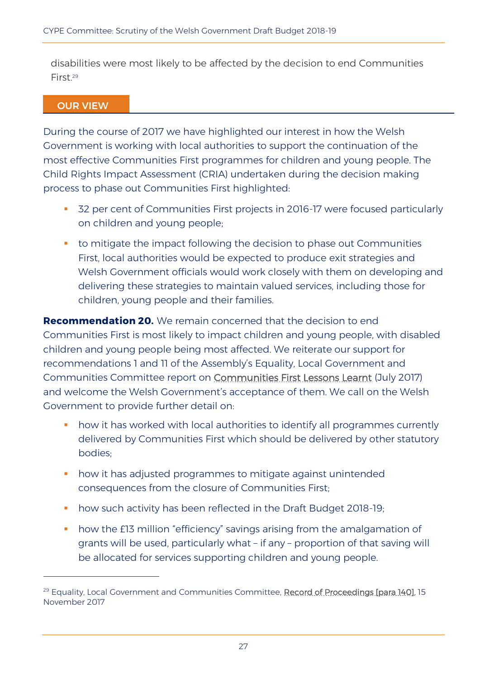disabilities were most likely to be affected by the decision to end Communities First<sup>29</sup>

#### OUR VIEW

 $\overline{a}$ 

During the course of 2017 we have highlighted our interest in how the Welsh Government is working with local authorities to support the continuation of the most effective Communities First programmes for children and young people. The Child Rights Impact Assessment (CRIA) undertaken during the decision making process to phase out Communities First highlighted:

- 32 per cent of Communities First projects in 2016-17 were focused particularly on children and young people;
- **t** to mitigate the impact following the decision to phase out Communities First, local authorities would be expected to produce exit strategies and Welsh Government officials would work closely with them on developing and delivering these strategies to maintain valued services, including those for children, young people and their families.

**Recommendation 20.** We remain concerned that the decision to end Communities First is most likely to impact children and young people, with disabled children and young people being most affected. We reiterate our support for recommendations 1 and 11 of the Assembly's Equality, Local Government and Communities Committee report on [Communities First Lessons Learnt](http://www.assembly.wales/laid%20documents/cr-ld11238/cr-ld11238-e.pdf) (July 2017) and welcome the Welsh Government's acceptance of them. We call on the Welsh Government to provide further detail on:

- how it has worked with local authorities to identify all programmes currently delivered by Communities First which should be delivered by other statutory bodies;
- **•** how it has adjusted programmes to mitigate against unintended consequences from the closure of Communities First;
- **how such activity has been reflected in the Draft Budget 2018-19;**
- how the £13 million "efficiency" savings arising from the amalgamation of grants will be used, particularly what – if any – proportion of that saving will be allocated for services supporting children and young people.

<sup>&</sup>lt;sup>29</sup> Equality, Local Government and Communities Committee, [Record of Proceedings \[para 140\],](http://record.assembly.wales/Committee/4403) 15 November 2017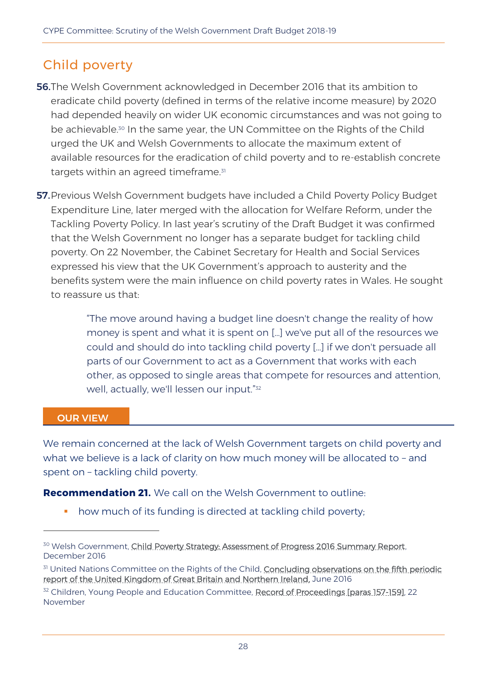### Child poverty

- 56.The Welsh Government acknowledged in December 2016 that its ambition to eradicate child poverty (defined in terms of the relative income measure) by 2020 had depended heavily on wider UK economic circumstances and was not going to be achievable.<sup>30</sup> In the same year, the UN Committee on the Rights of the Child urged the UK and Welsh Governments to allocate the maximum extent of available resources for the eradication of child poverty and to re-establish concrete targets within an agreed timeframe.<sup>31</sup>
- **57.** Previous Welsh Government budgets have included a Child Poverty Policy Budget Expenditure Line, later merged with the allocation for Welfare Reform, under the Tackling Poverty Policy. In last year's scrutiny of the Draft Budget it was confirmed that the Welsh Government no longer has a separate budget for tackling child poverty. On 22 November, the Cabinet Secretary for Health and Social Services expressed his view that the UK Government's approach to austerity and the benefits system were the main influence on child poverty rates in Wales. He sought to reassure us that:

"The move around having a budget line doesn't change the reality of how money is spent and what it is spent on […] we've put all of the resources we could and should do into tackling child poverty […] if we don't persuade all parts of our Government to act as a Government that works with each other, as opposed to single areas that compete for resources and attention, well, actually, we'll lessen our input." 32

#### OUR VIEW

-

We remain concerned at the lack of Welsh Government targets on child poverty and what we believe is a lack of clarity on how much money will be allocated to – and spent on – tackling child poverty.

**Recommendation 21.** We call on the Welsh Government to outline:

• how much of its funding is directed at tackling child poverty;

<sup>&</sup>lt;sup>30</sup> Welsh Government, Child Poverty Strategy: Assessment of Progress 2016 Summary Report, December 2016

<sup>&</sup>lt;sup>31</sup> United Nations Committee on the Rights of the Child, Concluding observations on the fifth periodic [report of the United Kingdom of Great Britain and Northern Ireland,](http://gov.wales/docs/dsjlg/publications/cyp/160727-final-concluding-observations-2016-en.pdf) June 2016

<sup>&</sup>lt;sup>32</sup> Children, Young People and Education Committee, [Record of Proceedings \[paras 157-159\],](http://record.assembly.wales/Committee/4317#A39893) 22 November